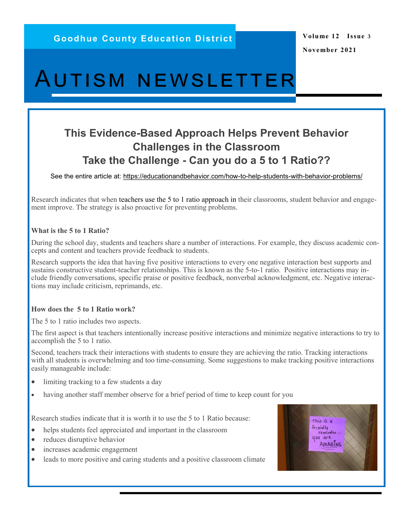# Autism newsletter

# **This Evidence-Based Approach Helps Prevent Behavior Challenges in the Classroom Take the Challenge - Can you do a 5 to 1 Ratio??**

See the entire article at: [https://educationandbehavior.com/how](file://gced.local/homefolders/staff/lpetersen/Documents/ASD Newsletters 2021-2022)-to-help-students-with-behavior-problems/

Research indicates that when [teachers use the 5 to 1 ratio approach](http://journals.sagepub.com/doi/abs/10.1177/1098300716679137?ai=1gvoi&mi=3ricys&af=R) in their classrooms, student behavior and engagement improve. The strategy is also proactive for preventing problems.

#### **What is the 5 to 1 Ratio?**

During the school day, students and teachers share a number of interactions. For example, they discuss academic concepts and content and teachers provide feedback to students.

Research supports the idea that having five positive interactions to every one negative interaction best supports and sustains constructive student-teacher relationships. This is known as the 5-to-1 ratio. Positive interactions may include friendly conversations, specific praise or positive feedback, nonverbal acknowledgment, etc. Negative interactions may include criticism, reprimands, etc.

#### **How does the 5 to 1 Ratio work?**

The 5 to 1 ratio includes two aspects.

The first aspect is that teachers intentionally increase positive interactions and minimize negative interactions to try to accomplish the 5 to 1 ratio.

Second, teachers track their interactions with students to ensure they are achieving the ratio. Tracking interactions with all students is overwhelming and too time-consuming. Some suggestions to make tracking positive interactions easily manageable include:

- limiting tracking to a few students a day
- having another staff member observe for a brief period of time to keep count for you

Research studies indicate that it is worth it to use the 5 to 1 Ratio because:

- helps students feel appreciated and important in the classroom
- reduces disruptive behavior
- increases academic engagement
- leads to more positive and caring students and a positive classroom climate